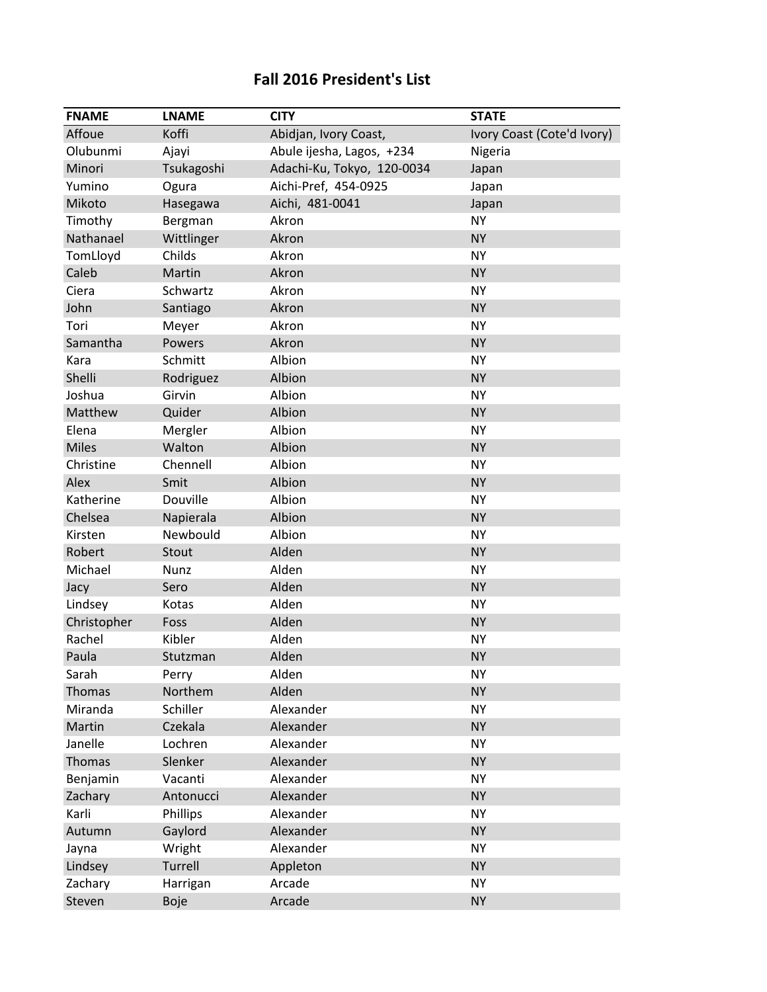## **Fall 2016 President's List**

| <b>FNAME</b> | <b>LNAME</b> | <b>CITY</b>                | <b>STATE</b>               |
|--------------|--------------|----------------------------|----------------------------|
| Affoue       | Koffi        | Abidjan, Ivory Coast,      | Ivory Coast (Cote'd Ivory) |
| Olubunmi     | Ajayi        | Abule ijesha, Lagos, +234  | Nigeria                    |
| Minori       | Tsukagoshi   | Adachi-Ku, Tokyo, 120-0034 | Japan                      |
| Yumino       | Ogura        | Aichi-Pref, 454-0925       | Japan                      |
| Mikoto       | Hasegawa     | Aichi, 481-0041            | Japan                      |
| Timothy      | Bergman      | Akron                      | <b>NY</b>                  |
| Nathanael    | Wittlinger   | Akron                      | <b>NY</b>                  |
| TomLloyd     | Childs       | Akron                      | <b>NY</b>                  |
| Caleb        | Martin       | Akron                      | <b>NY</b>                  |
| Ciera        | Schwartz     | Akron                      | <b>NY</b>                  |
| John         | Santiago     | Akron                      | <b>NY</b>                  |
| Tori         | Meyer        | Akron                      | <b>NY</b>                  |
| Samantha     | Powers       | Akron                      | <b>NY</b>                  |
| Kara         | Schmitt      | Albion                     | <b>NY</b>                  |
| Shelli       | Rodriguez    | Albion                     | <b>NY</b>                  |
| Joshua       | Girvin       | Albion                     | <b>NY</b>                  |
| Matthew      | Quider       | Albion                     | <b>NY</b>                  |
| Elena        | Mergler      | Albion                     | <b>NY</b>                  |
| <b>Miles</b> | Walton       | Albion                     | <b>NY</b>                  |
| Christine    | Chennell     | Albion                     | <b>NY</b>                  |
| Alex         | Smit         | Albion                     | <b>NY</b>                  |
| Katherine    | Douville     | Albion                     | <b>NY</b>                  |
| Chelsea      | Napierala    | Albion                     | <b>NY</b>                  |
| Kirsten      | Newbould     | Albion                     | <b>NY</b>                  |
| Robert       | Stout        | Alden                      | <b>NY</b>                  |
| Michael      | Nunz         | Alden                      | <b>NY</b>                  |
| Jacy         | Sero         | Alden                      | <b>NY</b>                  |
| Lindsey      | Kotas        | Alden                      | <b>NY</b>                  |
| Christopher  | Foss         | Alden                      | <b>NY</b>                  |
| Rachel       | Kibler       | Alden                      | <b>NY</b>                  |
| Paula        | Stutzman     | Alden                      | <b>NY</b>                  |
| Sarah        | Perry        | Alden                      | NΥ                         |
| Thomas       | Northem      | Alden                      | <b>NY</b>                  |
| Miranda      | Schiller     | Alexander                  | <b>NY</b>                  |
| Martin       | Czekala      | Alexander                  | <b>NY</b>                  |
| Janelle      | Lochren      | Alexander                  | <b>NY</b>                  |
| Thomas       | Slenker      | Alexander                  | <b>NY</b>                  |
| Benjamin     | Vacanti      | Alexander                  | <b>NY</b>                  |
| Zachary      | Antonucci    | Alexander                  | <b>NY</b>                  |
| Karli        | Phillips     | Alexander                  | <b>NY</b>                  |
| Autumn       | Gaylord      | Alexander                  | <b>NY</b>                  |
| Jayna        | Wright       | Alexander                  | <b>NY</b>                  |
| Lindsey      | Turrell      | Appleton                   | <b>NY</b>                  |
| Zachary      | Harrigan     | Arcade                     | <b>NY</b>                  |
| Steven       | <b>Boje</b>  | Arcade                     | <b>NY</b>                  |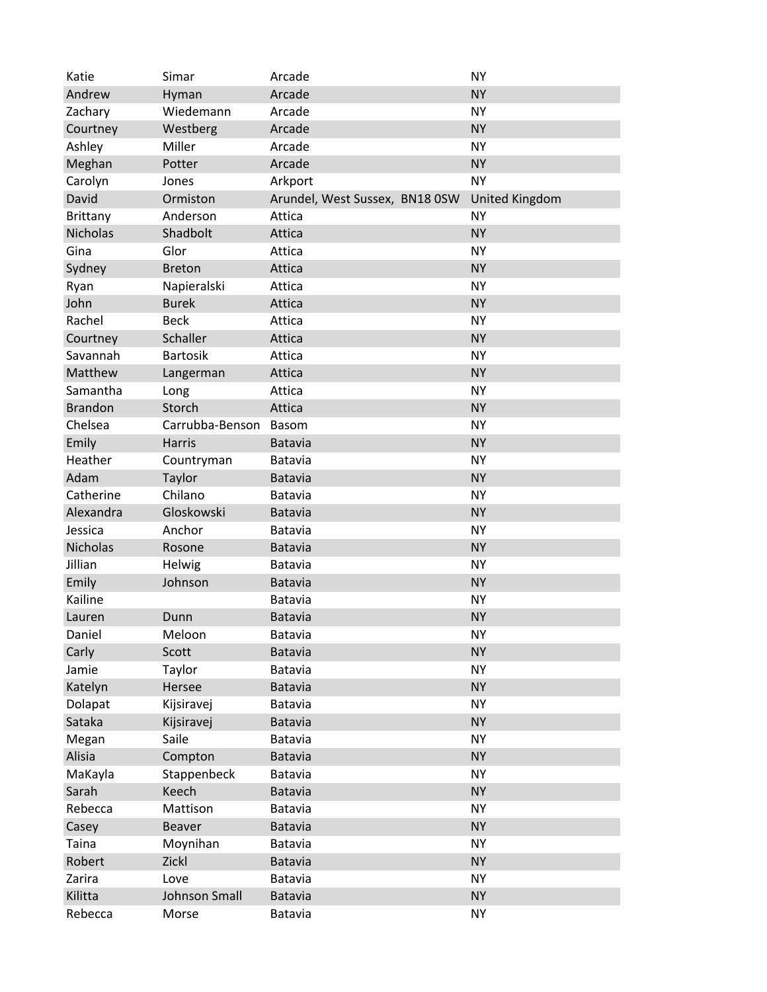| Katie           | Simar           | Arcade                         | <b>NY</b>             |
|-----------------|-----------------|--------------------------------|-----------------------|
| Andrew          | Hyman           | Arcade                         | <b>NY</b>             |
| Zachary         | Wiedemann       | Arcade                         | <b>NY</b>             |
| Courtney        | Westberg        | Arcade                         | <b>NY</b>             |
| Ashley          | Miller          | Arcade                         | <b>NY</b>             |
| Meghan          | Potter          | Arcade                         | <b>NY</b>             |
| Carolyn         | Jones           | Arkport                        | <b>NY</b>             |
| David           | Ormiston        | Arundel, West Sussex, BN18 0SW | <b>United Kingdom</b> |
| Brittany        | Anderson        | Attica                         | NY                    |
| <b>Nicholas</b> | Shadbolt        | Attica                         | <b>NY</b>             |
| Gina            | Glor            | Attica                         | <b>NY</b>             |
| Sydney          | <b>Breton</b>   | Attica                         | <b>NY</b>             |
| Ryan            | Napieralski     | Attica                         | <b>NY</b>             |
| John            | <b>Burek</b>    | Attica                         | <b>NY</b>             |
| Rachel          | <b>Beck</b>     | Attica                         | <b>NY</b>             |
| Courtney        | Schaller        | Attica                         | <b>NY</b>             |
| Savannah        | <b>Bartosik</b> | Attica                         | <b>NY</b>             |
| Matthew         | Langerman       | Attica                         | <b>NY</b>             |
| Samantha        | Long            | Attica                         | <b>NY</b>             |
| <b>Brandon</b>  | Storch          | Attica                         | <b>NY</b>             |
| Chelsea         | Carrubba-Benson | Basom                          | <b>NY</b>             |
| Emily           | Harris          | <b>Batavia</b>                 | <b>NY</b>             |
| Heather         | Countryman      | <b>Batavia</b>                 | <b>NY</b>             |
| Adam            | Taylor          | <b>Batavia</b>                 | <b>NY</b>             |
| Catherine       | Chilano         | Batavia                        | <b>NY</b>             |
| Alexandra       | Gloskowski      | Batavia                        | <b>NY</b>             |
| Jessica         | Anchor          | Batavia                        | <b>NY</b>             |
| <b>Nicholas</b> | Rosone          | Batavia                        | <b>NY</b>             |
| Jillian         | <b>Helwig</b>   | Batavia                        | <b>NY</b>             |
| Emily           | Johnson         | Batavia                        | <b>NY</b>             |
| Kailine         |                 | <b>Batavia</b>                 | <b>NY</b>             |
| Lauren          | Dunn            | Batavia                        | <b>NY</b>             |
| Daniel          | Meloon          | Batavia                        | <b>NY</b>             |
| Carly           | Scott           | <b>Batavia</b>                 | <b>NY</b>             |
| Jamie           | Taylor          | Batavia                        | <b>NY</b>             |
| Katelyn         | Hersee          | <b>Batavia</b>                 | <b>NY</b>             |
| Dolapat         | Kijsiravej      | Batavia                        | <b>NY</b>             |
| Sataka          | Kijsiravej      | Batavia                        | <b>NY</b>             |
| Megan           | Saile           | <b>Batavia</b>                 | <b>NY</b>             |
| Alisia          | Compton         | <b>Batavia</b>                 | <b>NY</b>             |
| MaKayla         | Stappenbeck     | Batavia                        | <b>NY</b>             |
| Sarah           | Keech           | <b>Batavia</b>                 | <b>NY</b>             |
| Rebecca         | Mattison        | Batavia                        | <b>NY</b>             |
| Casey           | Beaver          | Batavia                        | <b>NY</b>             |
| Taina           | Moynihan        | Batavia                        | <b>NY</b>             |
| Robert          | Zickl           | <b>Batavia</b>                 | <b>NY</b>             |
| Zarira          | Love            | Batavia                        | <b>NY</b>             |
| Kilitta         | Johnson Small   | <b>Batavia</b>                 | <b>NY</b>             |
| Rebecca         | Morse           | Batavia                        | <b>NY</b>             |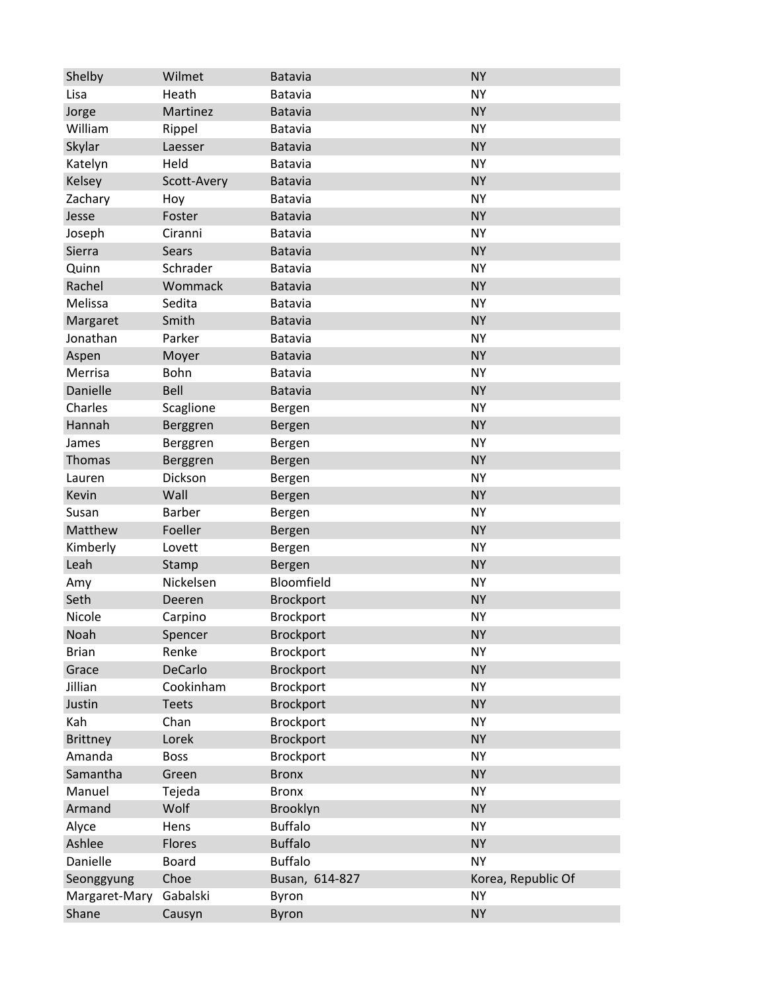| Shelby          | Wilmet         | <b>Batavia</b>   | <b>NY</b>          |
|-----------------|----------------|------------------|--------------------|
| Lisa            | Heath          | Batavia          | <b>NY</b>          |
| Jorge           | Martinez       | Batavia          | <b>NY</b>          |
| William         | Rippel         | Batavia          | <b>NY</b>          |
| Skylar          | Laesser        | <b>Batavia</b>   | <b>NY</b>          |
| Katelyn         | Held           | Batavia          | <b>NY</b>          |
| Kelsey          | Scott-Avery    | <b>Batavia</b>   | <b>NY</b>          |
| Zachary         | Hoy            | Batavia          | <b>NY</b>          |
| Jesse           | Foster         | <b>Batavia</b>   | <b>NY</b>          |
| Joseph          | Ciranni        | Batavia          | <b>NY</b>          |
| Sierra          | <b>Sears</b>   | <b>Batavia</b>   | <b>NY</b>          |
| Quinn           | Schrader       | <b>Batavia</b>   | <b>NY</b>          |
| Rachel          | Wommack        | <b>Batavia</b>   | <b>NY</b>          |
| Melissa         | Sedita         | Batavia          | <b>NY</b>          |
| Margaret        | Smith          | <b>Batavia</b>   | <b>NY</b>          |
| Jonathan        | Parker         | Batavia          | <b>NY</b>          |
| Aspen           | Moyer          | <b>Batavia</b>   | <b>NY</b>          |
| Merrisa         | Bohn           | Batavia          | <b>NY</b>          |
| Danielle        | Bell           | Batavia          | <b>NY</b>          |
| Charles         | Scaglione      | Bergen           | <b>NY</b>          |
| Hannah          | Berggren       | Bergen           | <b>NY</b>          |
| James           | Berggren       | Bergen           | <b>NY</b>          |
| Thomas          | Berggren       | Bergen           | <b>NY</b>          |
| Lauren          | Dickson        | Bergen           | <b>NY</b>          |
| Kevin           | Wall           | Bergen           | <b>NY</b>          |
| Susan           | Barber         | Bergen           | <b>NY</b>          |
| Matthew         | Foeller        | Bergen           | <b>NY</b>          |
| Kimberly        | Lovett         | Bergen           | <b>NY</b>          |
| Leah            | Stamp          | Bergen           | <b>NY</b>          |
| Amy             | Nickelsen      | Bloomfield       | <b>NY</b>          |
| Seth            | Deeren         | <b>Brockport</b> | <b>NY</b>          |
| Nicole          | Carpino        | <b>Brockport</b> | <b>NY</b>          |
| Noah            | Spencer        | <b>Brockport</b> | <b>NY</b>          |
| <b>Brian</b>    | Renke          | Brockport        | <b>NY</b>          |
| Grace           | <b>DeCarlo</b> | <b>Brockport</b> | <b>NY</b>          |
| Jillian         | Cookinham      | Brockport        | <b>NY</b>          |
| Justin          | <b>Teets</b>   | <b>Brockport</b> | <b>NY</b>          |
| Kah             | Chan           | <b>Brockport</b> | <b>NY</b>          |
| <b>Brittney</b> | Lorek          | <b>Brockport</b> | <b>NY</b>          |
| Amanda          | <b>Boss</b>    | Brockport        | <b>NY</b>          |
| Samantha        | Green          | <b>Bronx</b>     | <b>NY</b>          |
| Manuel          | Tejeda         | <b>Bronx</b>     | <b>NY</b>          |
| Armand          | Wolf           | Brooklyn         | <b>NY</b>          |
| Alyce           | Hens           | <b>Buffalo</b>   | <b>NY</b>          |
| Ashlee          | Flores         | <b>Buffalo</b>   | <b>NY</b>          |
| Danielle        | <b>Board</b>   | <b>Buffalo</b>   | <b>NY</b>          |
| Seonggyung      | Choe           | Busan, 614-827   | Korea, Republic Of |
| Margaret-Mary   | Gabalski       | Byron            | <b>NY</b>          |
| Shane           | Causyn         | Byron            | <b>NY</b>          |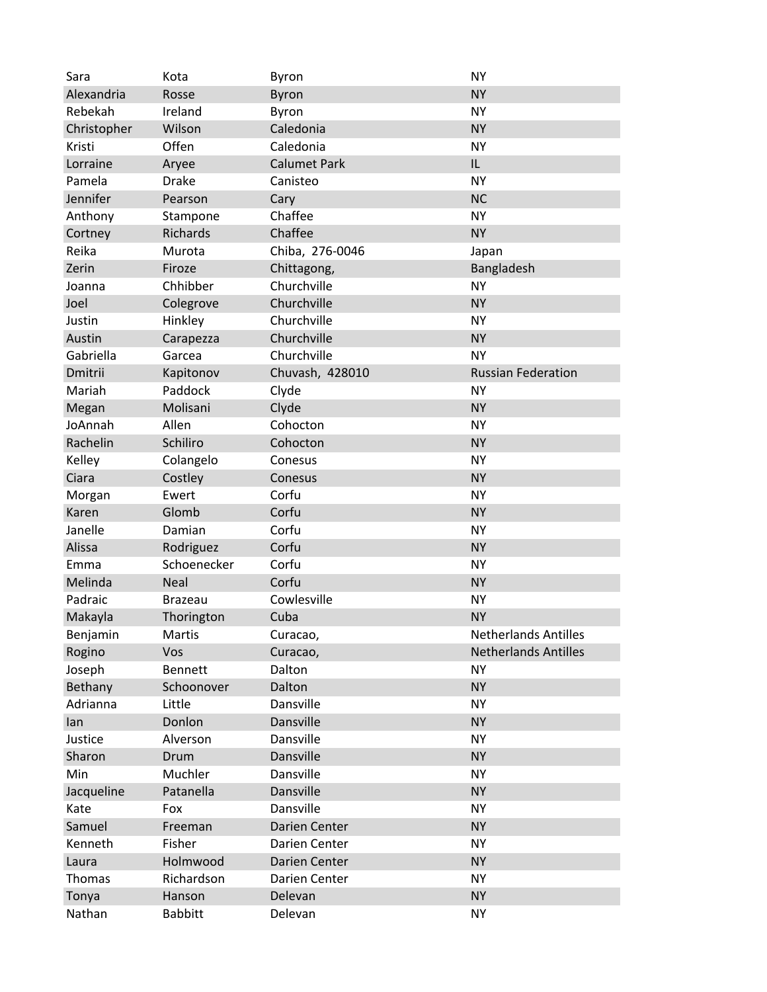| Sara        | Kota            | Byron               | <b>NY</b>                   |
|-------------|-----------------|---------------------|-----------------------------|
| Alexandria  | Rosse           | <b>Byron</b>        | <b>NY</b>                   |
| Rebekah     | Ireland         | Byron               | <b>NY</b>                   |
| Christopher | Wilson          | Caledonia           | <b>NY</b>                   |
| Kristi      | Offen           | Caledonia           | <b>NY</b>                   |
| Lorraine    | Aryee           | <b>Calumet Park</b> | IL                          |
| Pamela      | <b>Drake</b>    | Canisteo            | <b>NY</b>                   |
| Jennifer    | Pearson         | Cary                | <b>NC</b>                   |
| Anthony     | Stampone        | Chaffee             | <b>NY</b>                   |
| Cortney     | <b>Richards</b> | Chaffee             | <b>NY</b>                   |
| Reika       | Murota          | Chiba, 276-0046     | Japan                       |
| Zerin       | Firoze          | Chittagong,         | Bangladesh                  |
| Joanna      | Chhibber        | Churchville         | <b>NY</b>                   |
| Joel        | Colegrove       | Churchville         | <b>NY</b>                   |
| Justin      | Hinkley         | Churchville         | <b>NY</b>                   |
| Austin      | Carapezza       | Churchville         | <b>NY</b>                   |
| Gabriella   | Garcea          | Churchville         | <b>NY</b>                   |
| Dmitrii     | Kapitonov       | Chuvash, 428010     | <b>Russian Federation</b>   |
| Mariah      | Paddock         | Clyde               | <b>NY</b>                   |
| Megan       | Molisani        | Clyde               | <b>NY</b>                   |
| JoAnnah     | Allen           | Cohocton            | <b>NY</b>                   |
| Rachelin    | Schiliro        | Cohocton            | <b>NY</b>                   |
| Kelley      | Colangelo       | Conesus             | <b>NY</b>                   |
| Ciara       | Costley         | Conesus             | <b>NY</b>                   |
| Morgan      | Ewert           | Corfu               | <b>NY</b>                   |
| Karen       | Glomb           | Corfu               | <b>NY</b>                   |
| Janelle     | Damian          | Corfu               | <b>NY</b>                   |
| Alissa      | Rodriguez       | Corfu               | <b>NY</b>                   |
| Emma        | Schoenecker     | Corfu               | <b>NY</b>                   |
| Melinda     | <b>Neal</b>     | Corfu               | <b>NY</b>                   |
| Padraic     | <b>Brazeau</b>  | Cowlesville         | <b>NY</b>                   |
| Makayla     | Thorington      | Cuba                | <b>NY</b>                   |
| Benjamin    | Martis          | Curacao,            | <b>Netherlands Antilles</b> |
| Rogino      | Vos             | Curacao,            | <b>Netherlands Antilles</b> |
| Joseph      | <b>Bennett</b>  | Dalton              | <b>NY</b>                   |
| Bethany     | Schoonover      | Dalton              | <b>NY</b>                   |
| Adrianna    | Little          | Dansville           | <b>NY</b>                   |
| lan         | Donlon          | Dansville           | <b>NY</b>                   |
| Justice     | Alverson        | Dansville           | <b>NY</b>                   |
| Sharon      | Drum            | Dansville           | <b>NY</b>                   |
| Min         | Muchler         | Dansville           | <b>NY</b>                   |
| Jacqueline  | Patanella       | Dansville           | <b>NY</b>                   |
| Kate        | Fox             | Dansville           | <b>NY</b>                   |
| Samuel      | Freeman         | Darien Center       | <b>NY</b>                   |
| Kenneth     | Fisher          | Darien Center       | <b>NY</b>                   |
| Laura       | Holmwood        | Darien Center       | <b>NY</b>                   |
| Thomas      | Richardson      | Darien Center       | <b>NY</b>                   |
| Tonya       | Hanson          | Delevan             | <b>NY</b>                   |
| Nathan      | <b>Babbitt</b>  | Delevan             | <b>NY</b>                   |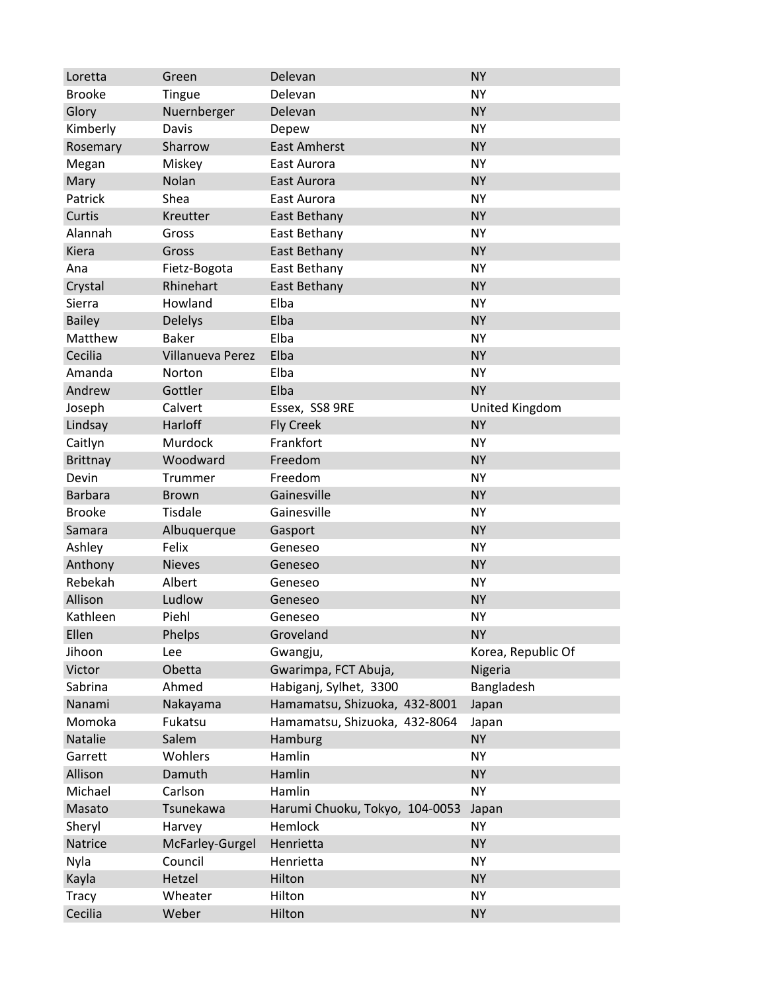| Loretta         | Green                   | Delevan                        | <b>NY</b>          |
|-----------------|-------------------------|--------------------------------|--------------------|
| <b>Brooke</b>   | <b>Tingue</b>           | Delevan                        | <b>NY</b>          |
| Glory           | Nuernberger             | Delevan                        | <b>NY</b>          |
| Kimberly        | Davis                   | Depew                          | <b>NY</b>          |
| Rosemary        | Sharrow                 | <b>East Amherst</b>            | <b>NY</b>          |
| Megan           | Miskey                  | East Aurora                    | <b>NY</b>          |
| Mary            | Nolan                   | East Aurora                    | <b>NY</b>          |
| Patrick         | Shea                    | East Aurora                    | <b>NY</b>          |
| Curtis          | Kreutter                | East Bethany                   | <b>NY</b>          |
| Alannah         | Gross                   | East Bethany                   | <b>NY</b>          |
| Kiera           | Gross                   | East Bethany                   | <b>NY</b>          |
| Ana             | Fietz-Bogota            | East Bethany                   | <b>NY</b>          |
| Crystal         | Rhinehart               | East Bethany                   | <b>NY</b>          |
| Sierra          | Howland                 | Elba                           | <b>NY</b>          |
| <b>Bailey</b>   | <b>Delelys</b>          | Elba                           | <b>NY</b>          |
| Matthew         | <b>Baker</b>            | Elba                           | <b>NY</b>          |
| Cecilia         | <b>Villanueva Perez</b> | Elba                           | <b>NY</b>          |
| Amanda          | Norton                  | Elba                           | <b>NY</b>          |
| Andrew          | Gottler                 | Elba                           | <b>NY</b>          |
| Joseph          | Calvert                 | Essex, SS8 9RE                 | United Kingdom     |
| Lindsay         | Harloff                 | <b>Fly Creek</b>               | <b>NY</b>          |
| Caitlyn         | Murdock                 | Frankfort                      | <b>NY</b>          |
| <b>Brittnay</b> | Woodward                | Freedom                        | <b>NY</b>          |
| Devin           | Trummer                 | Freedom                        | <b>NY</b>          |
| <b>Barbara</b>  | <b>Brown</b>            | Gainesville                    | <b>NY</b>          |
| <b>Brooke</b>   | <b>Tisdale</b>          | Gainesville                    | <b>NY</b>          |
| Samara          | Albuquerque             | Gasport                        | <b>NY</b>          |
| Ashley          | Felix                   | Geneseo                        | <b>NY</b>          |
| Anthony         | <b>Nieves</b>           | Geneseo                        | <b>NY</b>          |
| Rebekah         | Albert                  | Geneseo                        | <b>NY</b>          |
| Allison         | Ludlow                  | Geneseo                        | <b>NY</b>          |
| Kathleen        | Piehl                   | Geneseo                        | <b>NY</b>          |
| Ellen           | Phelps                  | Groveland                      | <b>NY</b>          |
| Jihoon          | Lee                     | Gwangju,                       | Korea, Republic Of |
| Victor          | Obetta                  | Gwarimpa, FCT Abuja,           | Nigeria            |
| Sabrina         | Ahmed                   | Habiganj, Sylhet, 3300         | Bangladesh         |
| Nanami          | Nakayama                | Hamamatsu, Shizuoka, 432-8001  | Japan              |
| Momoka          | Fukatsu                 | Hamamatsu, Shizuoka, 432-8064  | Japan              |
| Natalie         | Salem                   | Hamburg                        | <b>NY</b>          |
| Garrett         | Wohlers                 | Hamlin                         | <b>NY</b>          |
| Allison         | Damuth                  | Hamlin                         | <b>NY</b>          |
| Michael         | Carlson                 | Hamlin                         | <b>NY</b>          |
| Masato          | Tsunekawa               | Harumi Chuoku, Tokyo, 104-0053 | Japan              |
| Sheryl          | Harvey                  | Hemlock                        | <b>NY</b>          |
| Natrice         | McFarley-Gurgel         | Henrietta                      | <b>NY</b>          |
| Nyla            | Council                 | Henrietta                      | <b>NY</b>          |
| Kayla           | Hetzel                  | Hilton                         | <b>NY</b>          |
| <b>Tracy</b>    | Wheater                 | Hilton                         | <b>NY</b>          |
| Cecilia         | Weber                   | Hilton                         | <b>NY</b>          |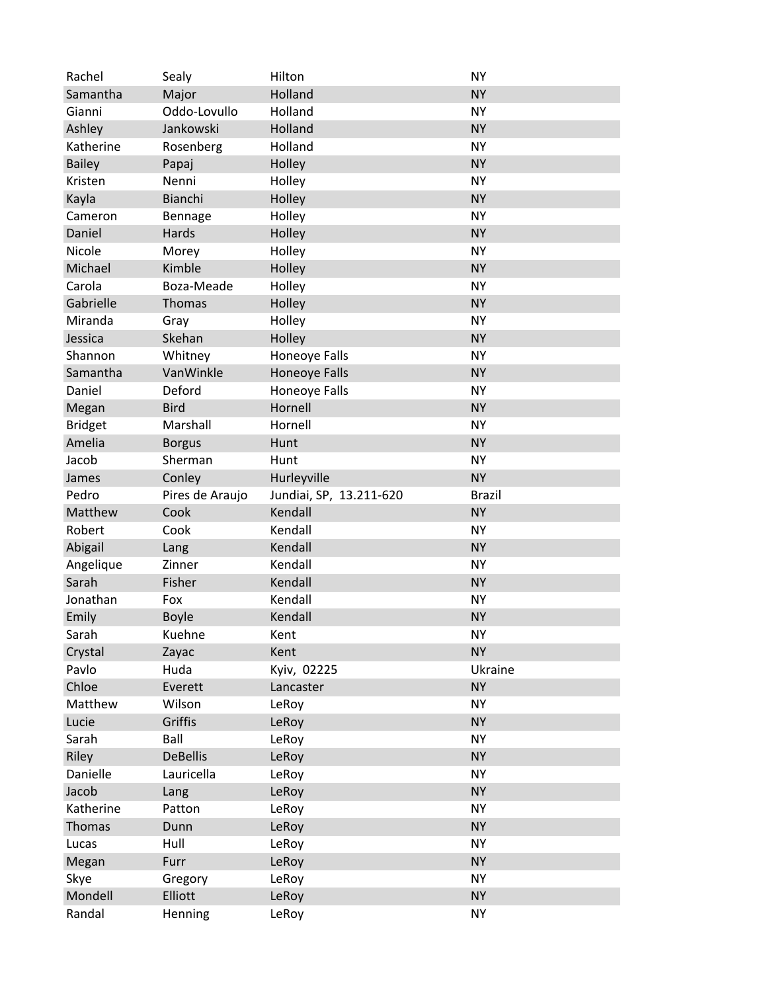| Rachel         | Sealy           | Hilton                  | <b>NY</b>     |
|----------------|-----------------|-------------------------|---------------|
| Samantha       | Major           | Holland                 | <b>NY</b>     |
| Gianni         | Oddo-Lovullo    | Holland                 | <b>NY</b>     |
| Ashley         | Jankowski       | Holland                 | <b>NY</b>     |
| Katherine      | Rosenberg       | Holland                 | <b>NY</b>     |
| <b>Bailey</b>  | Papaj           | Holley                  | <b>NY</b>     |
| Kristen        | Nenni           | Holley                  | <b>NY</b>     |
| Kayla          | Bianchi         | Holley                  | <b>NY</b>     |
| Cameron        | Bennage         | Holley                  | <b>NY</b>     |
| Daniel         | Hards           | Holley                  | <b>NY</b>     |
| Nicole         | Morey           | Holley                  | <b>NY</b>     |
| Michael        | Kimble          | Holley                  | <b>NY</b>     |
| Carola         | Boza-Meade      | Holley                  | <b>NY</b>     |
| Gabrielle      | Thomas          | Holley                  | <b>NY</b>     |
| Miranda        | Gray            | Holley                  | <b>NY</b>     |
| Jessica        | Skehan          | Holley                  | <b>NY</b>     |
| Shannon        | Whitney         | Honeoye Falls           | <b>NY</b>     |
| Samantha       | VanWinkle       | Honeoye Falls           | <b>NY</b>     |
| Daniel         | Deford          | Honeoye Falls           | <b>NY</b>     |
| Megan          | <b>Bird</b>     | Hornell                 | <b>NY</b>     |
| <b>Bridget</b> | Marshall        | Hornell                 | <b>NY</b>     |
| Amelia         | <b>Borgus</b>   | Hunt                    | <b>NY</b>     |
| Jacob          | Sherman         | Hunt                    | <b>NY</b>     |
| James          | Conley          | Hurleyville             | <b>NY</b>     |
| Pedro          | Pires de Araujo | Jundiai, SP, 13.211-620 | <b>Brazil</b> |
| Matthew        | Cook            | Kendall                 | <b>NY</b>     |
| Robert         | Cook            | Kendall                 | <b>NY</b>     |
| Abigail        | Lang            | Kendall                 | <b>NY</b>     |
| Angelique      | Zinner          | Kendall                 | <b>NY</b>     |
| Sarah          | Fisher          | Kendall                 | <b>NY</b>     |
| Jonathan       | Fox             | Kendall                 | <b>NY</b>     |
| Emily          | <b>Boyle</b>    | Kendall                 | <b>NY</b>     |
| Sarah          | Kuehne          | Kent                    | <b>NY</b>     |
| Crystal        | Zayac           | Kent                    | <b>NY</b>     |
| Pavlo          | Huda            | Kyiv, 02225             | Ukraine       |
| Chloe          | Everett         | Lancaster               | <b>NY</b>     |
| Matthew        | Wilson          | LeRoy                   | <b>NY</b>     |
| Lucie          | Griffis         | LeRoy                   | <b>NY</b>     |
| Sarah          | Ball            | LeRoy                   | <b>NY</b>     |
| Riley          | <b>DeBellis</b> | LeRoy                   | <b>NY</b>     |
| Danielle       | Lauricella      | LeRoy                   | <b>NY</b>     |
| Jacob          | Lang            | LeRoy                   | <b>NY</b>     |
| Katherine      | Patton          | LeRoy                   | <b>NY</b>     |
| Thomas         | Dunn            | LeRoy                   | <b>NY</b>     |
| Lucas          | Hull            | LeRoy                   | <b>NY</b>     |
| Megan          | Furr            | LeRoy                   | <b>NY</b>     |
| Skye           | Gregory         | LeRoy                   | <b>NY</b>     |
| Mondell        | Elliott         | LeRoy                   | <b>NY</b>     |
| Randal         | Henning         | LeRoy                   | <b>NY</b>     |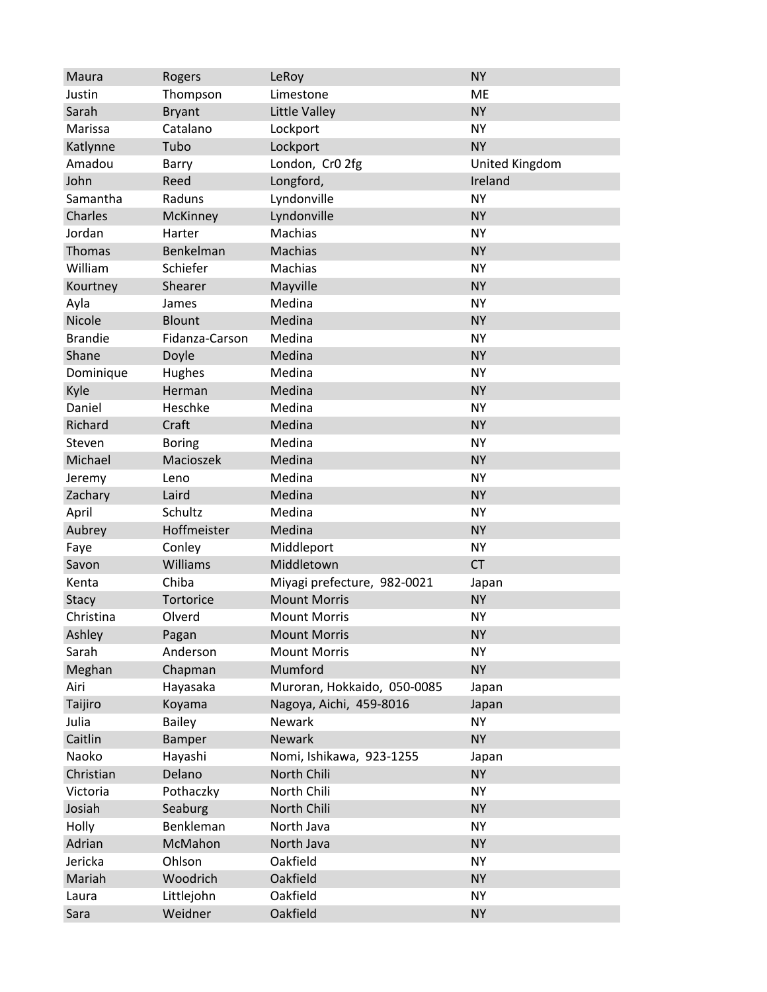| Maura          | Rogers         | LeRoy                       | <b>NY</b>      |
|----------------|----------------|-----------------------------|----------------|
| Justin         | Thompson       | Limestone                   | ME             |
| Sarah          | <b>Bryant</b>  | Little Valley               | <b>NY</b>      |
| Marissa        | Catalano       | Lockport                    | <b>NY</b>      |
| Katlynne       | Tubo           | Lockport                    | <b>NY</b>      |
| Amadou         | Barry          | London, Cr0 2fg             | United Kingdom |
| John           | Reed           | Longford,                   | Ireland        |
| Samantha       | Raduns         | Lyndonville                 | <b>NY</b>      |
| Charles        | McKinney       | Lyndonville                 | <b>NY</b>      |
| Jordan         | Harter         | Machias                     | <b>NY</b>      |
| Thomas         | Benkelman      | <b>Machias</b>              | <b>NY</b>      |
| William        | Schiefer       | Machias                     | <b>NY</b>      |
| Kourtney       | Shearer        | Mayville                    | <b>NY</b>      |
| Ayla           | James          | Medina                      | <b>NY</b>      |
| Nicole         | <b>Blount</b>  | Medina                      | <b>NY</b>      |
| <b>Brandie</b> | Fidanza-Carson | Medina                      | <b>NY</b>      |
| Shane          | Doyle          | Medina                      | <b>NY</b>      |
| Dominique      | <b>Hughes</b>  | Medina                      | <b>NY</b>      |
| Kyle           | Herman         | Medina                      | <b>NY</b>      |
| Daniel         | Heschke        | Medina                      | <b>NY</b>      |
| Richard        | Craft          | Medina                      | <b>NY</b>      |
| Steven         | <b>Boring</b>  | Medina                      | <b>NY</b>      |
| Michael        | Macioszek      | Medina                      | <b>NY</b>      |
| Jeremy         | Leno           | Medina                      | <b>NY</b>      |
| Zachary        | Laird          | Medina                      | <b>NY</b>      |
| April          | Schultz        | Medina                      | <b>NY</b>      |
| Aubrey         | Hoffmeister    | Medina                      | <b>NY</b>      |
| Faye           | Conley         | Middleport                  | <b>NY</b>      |
| Savon          | Williams       | Middletown                  | <b>CT</b>      |
| Kenta          | Chiba          | Miyagi prefecture, 982-0021 | Japan          |
| <b>Stacy</b>   | Tortorice      | <b>Mount Morris</b>         | <b>NY</b>      |
| Christina      | Olverd         | <b>Mount Morris</b>         | <b>NY</b>      |
| Ashley         | Pagan          | <b>Mount Morris</b>         | <b>NY</b>      |
| Sarah          | Anderson       | <b>Mount Morris</b>         | <b>NY</b>      |
| Meghan         | Chapman        | Mumford                     | <b>NY</b>      |
| Airi           | Hayasaka       | Muroran, Hokkaido, 050-0085 | Japan          |
| Taijiro        | Koyama         | Nagoya, Aichi, 459-8016     | Japan          |
| Julia          | <b>Bailey</b>  | Newark                      | <b>NY</b>      |
| Caitlin        | Bamper         | <b>Newark</b>               | <b>NY</b>      |
| Naoko          | Hayashi        | Nomi, Ishikawa, 923-1255    | Japan          |
| Christian      | Delano         | North Chili                 | <b>NY</b>      |
| Victoria       | Pothaczky      | North Chili                 | <b>NY</b>      |
| Josiah         | Seaburg        | North Chili                 | <b>NY</b>      |
| Holly          | Benkleman      | North Java                  | <b>NY</b>      |
| Adrian         | McMahon        | North Java                  | <b>NY</b>      |
| Jericka        | Ohlson         | Oakfield                    | <b>NY</b>      |
| Mariah         | Woodrich       | Oakfield                    | <b>NY</b>      |
| Laura          | Littlejohn     | Oakfield                    | <b>NY</b>      |
| Sara           | Weidner        | Oakfield                    | <b>NY</b>      |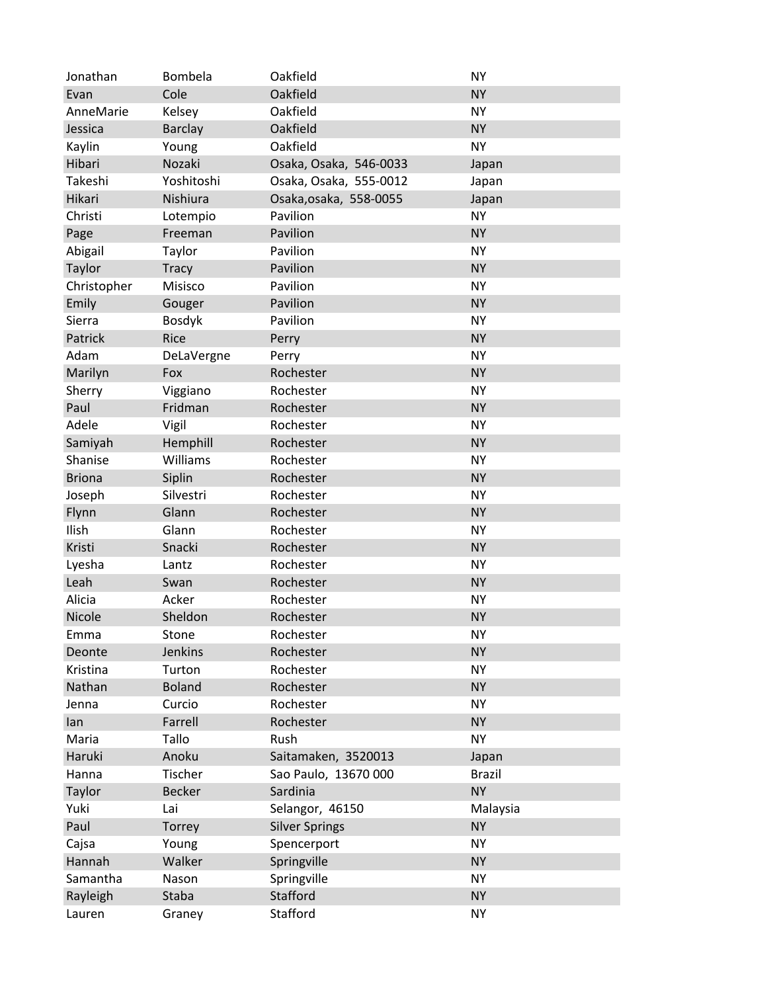| Jonathan      | Bombela        | Oakfield               | <b>NY</b>     |
|---------------|----------------|------------------------|---------------|
| Evan          | Cole           | Oakfield               | <b>NY</b>     |
| AnneMarie     | Kelsey         | Oakfield               | <b>NY</b>     |
| Jessica       | <b>Barclay</b> | Oakfield               | <b>NY</b>     |
| Kaylin        | Young          | Oakfield               | <b>NY</b>     |
| Hibari        | Nozaki         | Osaka, Osaka, 546-0033 | Japan         |
| Takeshi       | Yoshitoshi     | Osaka, Osaka, 555-0012 | Japan         |
| Hikari        | Nishiura       | Osaka, osaka, 558-0055 | Japan         |
| Christi       | Lotempio       | Pavilion               | <b>NY</b>     |
| Page          | Freeman        | Pavilion               | <b>NY</b>     |
| Abigail       | Taylor         | Pavilion               | <b>NY</b>     |
| Taylor        | <b>Tracy</b>   | Pavilion               | <b>NY</b>     |
| Christopher   | Misisco        | Pavilion               | <b>NY</b>     |
| Emily         | Gouger         | Pavilion               | <b>NY</b>     |
| Sierra        | <b>Bosdyk</b>  | Pavilion               | <b>NY</b>     |
| Patrick       | Rice           | Perry                  | <b>NY</b>     |
| Adam          | DeLaVergne     | Perry                  | <b>NY</b>     |
| Marilyn       | Fox            | Rochester              | <b>NY</b>     |
| Sherry        | Viggiano       | Rochester              | <b>NY</b>     |
| Paul          | Fridman        | Rochester              | <b>NY</b>     |
| Adele         | Vigil          | Rochester              | <b>NY</b>     |
| Samiyah       | Hemphill       | Rochester              | <b>NY</b>     |
| Shanise       | Williams       | Rochester              | <b>NY</b>     |
| <b>Briona</b> | Siplin         | Rochester              | <b>NY</b>     |
| Joseph        | Silvestri      | Rochester              | <b>NY</b>     |
| Flynn         | Glann          | Rochester              | <b>NY</b>     |
| Ilish         | Glann          | Rochester              | <b>NY</b>     |
| Kristi        | Snacki         | Rochester              | <b>NY</b>     |
| Lyesha        | Lantz          | Rochester              | <b>NY</b>     |
| Leah          | Swan           | Rochester              | <b>NY</b>     |
| Alicia        | Acker          | Rochester              | <b>NY</b>     |
| Nicole        | Sheldon        | Rochester              | <b>NY</b>     |
| Emma          | Stone          | Rochester              | <b>NY</b>     |
| Deonte        | <b>Jenkins</b> | Rochester              | <b>NY</b>     |
| Kristina      | Turton         | Rochester              | <b>NY</b>     |
| Nathan        | <b>Boland</b>  | Rochester              | <b>NY</b>     |
| Jenna         | Curcio         | Rochester              | <b>NY</b>     |
| lan           | Farrell        | Rochester              | <b>NY</b>     |
| Maria         | Tallo          | Rush                   | <b>NY</b>     |
| Haruki        | Anoku          | Saitamaken, 3520013    | Japan         |
| Hanna         | Tischer        | Sao Paulo, 13670 000   | <b>Brazil</b> |
| Taylor        | <b>Becker</b>  | Sardinia               | <b>NY</b>     |
| Yuki          | Lai            | Selangor, 46150        | Malaysia      |
| Paul          | Torrey         | <b>Silver Springs</b>  | <b>NY</b>     |
| Cajsa         | Young          | Spencerport            | <b>NY</b>     |
| Hannah        | Walker         | Springville            | <b>NY</b>     |
| Samantha      | Nason          | Springville            | <b>NY</b>     |
| Rayleigh      | Staba          | Stafford               | <b>NY</b>     |
| Lauren        | Graney         | Stafford               | <b>NY</b>     |